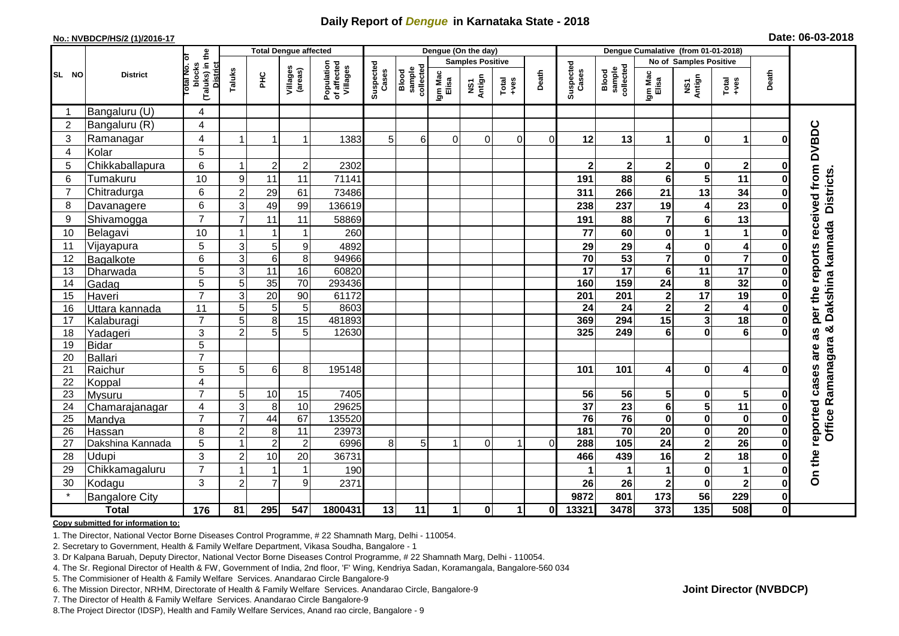## **Daily Report of** *Dengue* **in Karnataka State - 2018**

#### **No.: NVBDCP/HS/2 (1)/2016-17**

|  | Date: 06-03-2018 |  |
|--|------------------|--|
|--|------------------|--|

|                 |                            |                                                       | <b>Total Dengue affected</b> |                 | Dengue (On the day) |                                       |                    |                              |                         |               |                      | Dengue Cumalative (from 01-01-2018) |                       |                                     |                         |                                                    |                                                              |                  |                                     |
|-----------------|----------------------------|-------------------------------------------------------|------------------------------|-----------------|---------------------|---------------------------------------|--------------------|------------------------------|-------------------------|---------------|----------------------|-------------------------------------|-----------------------|-------------------------------------|-------------------------|----------------------------------------------------|--------------------------------------------------------------|------------------|-------------------------------------|
|                 |                            |                                                       |                              |                 |                     |                                       |                    |                              | <b>Samples Positive</b> |               |                      |                                     |                       |                                     | No of Samples Positive  |                                                    |                                                              |                  |                                     |
| SL<br><b>NO</b> | <b>District</b>            | (Taluks) in the<br>District<br>Total No. of<br>blocks | Taluks                       | ΞÉ              | Villages<br>(areas) | Population<br>of affected<br>Villages | Suspected<br>Cases | Blood<br>sample<br>collected | Igm Mac<br>Elisa        | NS1<br>Antign | Total<br>$+ve$ s     | Death                               | Suspected<br>Cases    | collected<br><b>Blood</b><br>sample | Igm Mac<br>Elisa        | NS1<br>Antign                                      | $\begin{array}{c}\n\text{Total} \\ \text{Area}\n\end{array}$ | Death            |                                     |
|                 | Bangaluru (U)              | 4                                                     |                              |                 |                     |                                       |                    |                              |                         |               |                      |                                     |                       |                                     |                         |                                                    |                                                              |                  |                                     |
| $\overline{2}$  | Bangaluru (R)              | 4                                                     |                              |                 |                     |                                       |                    |                              |                         |               |                      |                                     |                       |                                     |                         |                                                    |                                                              |                  |                                     |
| 3               | Ramanagar                  | 4                                                     |                              |                 | 1                   | 1383                                  | 5                  | 6                            | $\Omega$                | $\Omega$      | $\Omega$             | $\Omega$                            | 12                    | 13                                  | 1                       | $\bf{0}$                                           | $\mathbf 1$                                                  | O                | per the reports received from DVBDC |
| $\overline{4}$  | Kolar                      | 5                                                     |                              |                 |                     |                                       |                    |                              |                         |               |                      |                                     |                       |                                     |                         |                                                    |                                                              |                  |                                     |
| 5               | Chikkaballapura            | 6                                                     |                              | $\overline{2}$  | $\overline{c}$      | 2302                                  |                    |                              |                         |               |                      |                                     | $\mathbf{2}$          | $\mathbf 2$                         | $\mathbf 2$             | 0                                                  | $\mathbf{2}$                                                 | 0                |                                     |
| 6               | Tumakuru                   | 10                                                    | 9                            | 11              | 11                  | 71141                                 |                    |                              |                         |               |                      |                                     | 191                   | 88                                  | 6                       | $\overline{\mathbf{5}}$                            | 11                                                           | 0                | Districts.                          |
| $\overline{7}$  | Chitradurga                | 6                                                     | $\overline{2}$               | 29              | 61                  | 73486                                 |                    |                              |                         |               |                      |                                     | 311                   | 266                                 | 21                      | 13                                                 | 34                                                           | 0                |                                     |
| 8               | Davanagere                 | 6                                                     | 3                            | 49              | 99                  | 136619                                |                    |                              |                         |               |                      |                                     | 238                   | 237                                 | 19                      | $\overline{\mathbf{4}}$                            | $\overline{23}$                                              | 0                |                                     |
| 9               | Shivamogga                 | $\overline{7}$                                        | $\overline{7}$               | 11              | 11                  | 58869                                 |                    |                              |                         |               |                      |                                     | 191                   | 88                                  | $\overline{\mathbf{r}}$ | $6\phantom{1}$                                     | 13                                                           |                  |                                     |
| 10              | Belagavi                   | 10                                                    |                              |                 | 1                   | 260                                   |                    |                              |                         |               |                      |                                     | 77                    | 60                                  | 0                       | 1                                                  | $\mathbf{1}$                                                 | 0                | Dakshina kannada                    |
| 11              | Vijayapura                 | $\overline{5}$                                        | $\mathbf{3}$                 | 5               | 9                   | 4892                                  |                    |                              |                         |               |                      |                                     | 29                    | 29                                  | 4                       | $\pmb{0}$                                          | $\overline{\mathbf{4}}$                                      | 0                |                                     |
| 12              | Bagalkote                  | 6                                                     | $\overline{3}$               | $6\phantom{1}6$ | 8                   | 94966                                 |                    |                              |                         |               |                      |                                     | $\overline{70}$       | 53                                  | $\overline{\mathbf{7}}$ | $\mathbf 0$                                        | $\overline{\mathbf{7}}$                                      | 0                |                                     |
| 13              | Dharwada                   | $\overline{5}$                                        | $\mathbf{3}$                 | $\overline{11}$ | 16                  | 60820                                 |                    |                              |                         |               |                      |                                     | 17                    | $\overline{17}$                     | 6                       | $\overline{11}$                                    | 17                                                           | 0                |                                     |
| 14              | Gadag                      | $\overline{5}$                                        | $\overline{5}$               | 35              | $\overline{70}$     | 293436                                |                    |                              |                         |               |                      |                                     | 160                   | 159                                 | 24                      | 8                                                  | 32                                                           | 0                |                                     |
| 15              | Haveri                     | $\overline{7}$                                        | 3                            | 20              | 90                  | 61172                                 |                    |                              |                         |               |                      |                                     | 201                   | 201                                 | $\mathbf 2$             | 17                                                 | 19                                                           | 0                |                                     |
| 16              | Uttara kannada             | $\overline{11}$                                       | 5                            | 5               | 5                   | 8603                                  |                    |                              |                         |               |                      |                                     | $\overline{24}$       | $\overline{24}$                     | $\overline{\mathbf{2}}$ | $\mathbf{2}$                                       | $\overline{\mathbf{4}}$                                      | 0                |                                     |
| 17              | Kalaburagi                 | $\overline{7}$                                        | 5                            | 8               | 15                  | 481893                                |                    |                              |                         |               |                      |                                     | 369                   | 294                                 | $\overline{15}$         | 3                                                  | $\overline{18}$                                              | 0                |                                     |
| 18              | Yadageri                   | 3                                                     | $\overline{2}$               | 5               | 5                   | 12630                                 |                    |                              |                         |               |                      |                                     | 325                   | 249                                 | 6                       | $\mathbf 0$                                        | $\overline{6}$                                               |                  | ×<br>as                             |
| 19              | <b>Bidar</b>               | 5                                                     |                              |                 |                     |                                       |                    |                              |                         |               |                      |                                     |                       |                                     |                         |                                                    |                                                              |                  | are                                 |
| 20              | Ballari                    | $\overline{7}$                                        |                              |                 |                     |                                       |                    |                              |                         |               |                      |                                     |                       |                                     |                         |                                                    |                                                              |                  |                                     |
| 21              | Raichur                    | 5                                                     | 5                            | 6               | 8                   | 195148                                |                    |                              |                         |               |                      |                                     | 101                   | 101                                 | 4                       | $\bf{0}$                                           | 4                                                            |                  |                                     |
| 22              | Koppal                     | 4                                                     |                              |                 |                     |                                       |                    |                              |                         |               |                      |                                     |                       |                                     |                         |                                                    |                                                              |                  |                                     |
| 23              | Mysuru                     | $\overline{7}$                                        | 5                            | 10              | 15                  | 7405                                  |                    |                              |                         |               |                      |                                     | 56                    | 56                                  | 5                       | $\mathbf 0$                                        | 5<br>11                                                      |                  |                                     |
| 24<br>25        | Chamarajanagar             | 4<br>$\overline{7}$                                   | 3<br>$\overline{7}$          | 8<br>44         | 10<br>67            | 29625<br>135520                       |                    |                              |                         |               |                      |                                     | $\overline{37}$<br>76 | $\overline{23}$<br>76               | 6<br>$\mathbf 0$        | $\overline{\mathbf{5}}$<br>$\overline{\mathbf{0}}$ |                                                              | 0<br>$\bf{0}$    | Office Ramanagara<br>reported cases |
| 26              | Mandya                     | 8                                                     | $\overline{2}$               | 8               | 11                  | 23973                                 |                    |                              |                         |               |                      |                                     | 181                   | 70                                  | 20                      | $\pmb{0}$                                          | $\bf{0}$<br>$\overline{20}$                                  | 0                |                                     |
| 27              | Hassan<br>Dakshina Kannada | 5                                                     |                              | $\overline{2}$  | $\boldsymbol{2}$    | 6996                                  | 8                  | 5                            | $\mathbf{1}$            | $\Omega$      | 1                    | $\Omega$                            | 288                   | 105                                 | $\overline{24}$         | $\overline{2}$                                     | $\overline{26}$                                              | $\bf{0}$         |                                     |
| 28              | Udupi                      | $\overline{3}$                                        | $\overline{2}$               | 10              | 20                  | 36731                                 |                    |                              |                         |               |                      |                                     | 466                   | 439                                 | 16                      | $\overline{\mathbf{c}}$                            | $\overline{18}$                                              | ŋ                |                                     |
| 29              | Chikkamagaluru             | $\overline{7}$                                        |                              |                 | $\mathbf 1$         | 190                                   |                    |                              |                         |               |                      |                                     |                       |                                     | 1                       | $\mathbf 0$                                        | 1                                                            | 0                | On the                              |
| 30              |                            | $\mathbf{3}$                                          | $\overline{c}$               | $\overline{7}$  | 9                   | 2371                                  |                    |                              |                         |               |                      |                                     |                       |                                     | $\mathbf 2$             |                                                    | $\boldsymbol{2}$                                             |                  |                                     |
| $\star$         | Kodagu                     |                                                       |                              |                 |                     |                                       |                    |                              |                         |               |                      |                                     | 26<br>9872            | 26<br>801                           | 173                     | $\pmb{0}$<br>$\overline{56}$                       | 229                                                          | 0<br>$\mathbf 0$ |                                     |
|                 | <b>Bangalore City</b>      |                                                       |                              |                 |                     |                                       |                    |                              |                         |               |                      |                                     |                       |                                     |                         |                                                    |                                                              |                  |                                     |
|                 | <b>Total</b>               | $\frac{1}{176}$                                       | 81                           | 295             | 547                 | 1800431                               | 13                 | 11                           | 1                       | $\mathbf{0}$  | $\blacktriangleleft$ | 0l                                  | 13321                 | 3478                                | 373                     | $\overline{135}$                                   | 508                                                          | $\mathbf{0}$     |                                     |

#### **Copy submitted for information to:**

1. The Director, National Vector Borne Diseases Control Programme, # 22 Shamnath Marg, Delhi - 110054.

2. Secretary to Government, Health & Family Welfare Department, Vikasa Soudha, Bangalore - 1

3. Dr Kalpana Baruah, Deputy Director, National Vector Borne Diseases Control Programme, # 22 Shamnath Marg, Delhi - 110054.

4. The Sr. Regional Director of Health & FW, Government of India, 2nd floor, 'F' Wing, Kendriya Sadan, Koramangala, Bangalore-560 034

5. The Commisioner of Health & Family Welfare Services. Anandarao Circle Bangalore-9

6. The Mission Director, NRHM, Directorate of Health & Family Welfare Services. Anandarao Circle, Bangalore-9

7. The Director of Health & Family Welfare Services. Anandarao Circle Bangalore-9

8.The Project Director (IDSP), Health and Family Welfare Services, Anand rao circle, Bangalore - 9